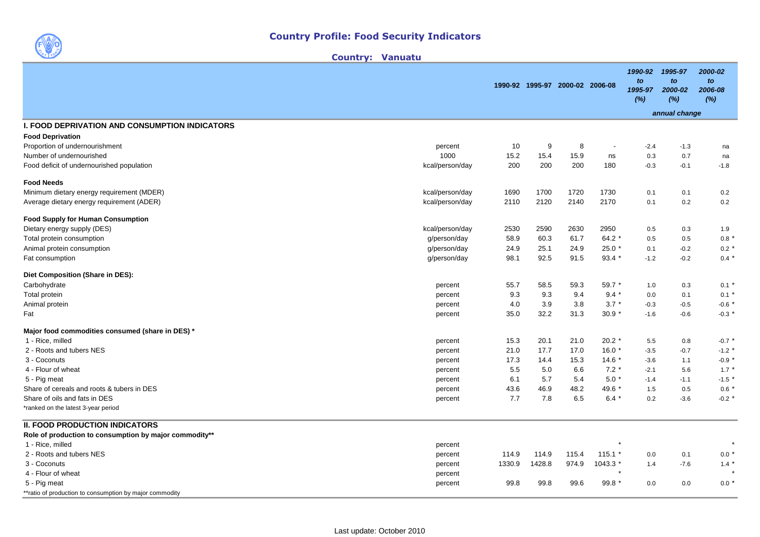

| <b>Vanuatu</b><br><b>Country:</b> |
|-----------------------------------|
|-----------------------------------|

| 1990-92 1995-97 2000-02 2006-08<br>1995-97<br>2000-02<br>(%)<br>(%)                                                             | to<br>2006-08<br>(%) |
|---------------------------------------------------------------------------------------------------------------------------------|----------------------|
| annual change                                                                                                                   |                      |
| <b>I. FOOD DEPRIVATION AND CONSUMPTION INDICATORS</b>                                                                           |                      |
| <b>Food Deprivation</b>                                                                                                         |                      |
| Proportion of undernourishment<br>10<br>9<br>8<br>$-2.4$<br>$-1.3$<br>percent<br>$\overline{\phantom{a}}$                       | na                   |
| 15.2<br>15.9<br>1000<br>15.4<br>Number of undernourished<br>0.3<br>0.7<br>ns                                                    | na                   |
| 200<br>200<br>200<br>180<br>Food deficit of undernourished population<br>kcal/person/day<br>$-0.3$<br>$-0.1$                    | $-1.8$               |
| <b>Food Needs</b>                                                                                                               |                      |
| Minimum dietary energy requirement (MDER)<br>kcal/person/day<br>1690<br>1700<br>1720<br>1730<br>0.1<br>0.1                      | 0.2                  |
| 2110<br>2120<br>2140<br>2170<br>Average dietary energy requirement (ADER)<br>kcal/person/day<br>0.1<br>0.2                      | 0.2                  |
| <b>Food Supply for Human Consumption</b>                                                                                        |                      |
| Dietary energy supply (DES)<br>kcal/person/day<br>2530<br>2590<br>2630<br>2950<br>0.5<br>0.3                                    | 1.9                  |
| 60.3<br>58.9<br>61.7<br>64.2 $*$<br>0.5<br>0.5<br>Total protein consumption<br>g/person/day                                     | 0.8                  |
| 25.1<br>Animal protein consumption<br>24.9<br>24.9<br>25.0 *<br>g/person/day<br>0.1<br>$-0.2$                                   | $0.2*$               |
| 98.1<br>92.5<br>91.5<br>$93.4*$<br>Fat consumption<br>g/person/day<br>$-1.2$<br>$-0.2$                                          | $0.4 *$              |
| Diet Composition (Share in DES):                                                                                                |                      |
| Carbohydrate<br>55.7<br>58.5<br>59.3<br>59.7 *<br>1.0<br>0.3<br>percent                                                         | $0.1 *$              |
| $9.4 *$<br>Total protein<br>9.3<br>9.3<br>9.4<br>0.0<br>0.1<br>percent                                                          | $0.1 *$              |
| 4.0<br>3.9<br>3.8<br>$3.7*$<br>Animal protein<br>$-0.3$<br>$-0.5$<br>percent                                                    | $-0.6$ *             |
| 32.2<br>31.3<br>$30.9*$<br>35.0<br>$-1.6$<br>Fat<br>$-0.6$<br>percent                                                           | $-0.3$ *             |
| Major food commodities consumed (share in DES) *                                                                                |                      |
| 15.3<br>20.1<br>21.0<br>$20.2$ *<br>1 - Rice, milled<br>5.5<br>0.8<br>percent                                                   | $-0.7$ *             |
| 21.0<br>17.7<br>$16.0*$<br>2 - Roots and tubers NES<br>17.0<br>$-3.5$<br>$-0.7$<br>percent                                      | $-1.2$ *             |
| 3 - Coconuts<br>17.3<br>14.4<br>15.3<br>$14.6*$<br>$-3.6$<br>1.1<br>percent                                                     | $-0.9$ *             |
| $7.2*$<br>4 - Flour of wheat<br>5.5<br>5.0<br>6.6<br>$-2.1$<br>5.6<br>percent                                                   | $1.7*$               |
| 6.1<br>5.7<br>$5.0*$<br>5 - Pig meat<br>5.4<br>percent<br>$-1.4$<br>$-1.1$                                                      | $-1.5$ $*$           |
| 48.2<br>Share of cereals and roots & tubers in DES<br>43.6<br>46.9<br>49.6 *<br>1.5<br>0.5<br>percent                           | $0.6*$               |
| 7.7<br>7.8<br>Share of oils and fats in DES<br>6.5<br>$6.4*$<br>0.2<br>$-3.6$<br>percent<br>*ranked on the latest 3-year period | $-0.2$ *             |
|                                                                                                                                 |                      |
| <b>II. FOOD PRODUCTION INDICATORS</b>                                                                                           |                      |
| Role of production to consumption by major commodity**                                                                          |                      |
| 1 - Rice, milled<br>percent                                                                                                     |                      |
| 2 - Roots and tubers NES<br>114.9<br>114.9<br>115.4<br>$115.1*$<br>0.0<br>0.1<br>percent                                        | $0.0*$               |
| 1428.8<br>974.9<br>3 - Coconuts<br>1330.9<br>1043.3 *<br>$-7.6$<br>percent<br>1.4<br>$\star$                                    | $1.4 *$              |
| 4 - Flour of wheat<br>percent<br>99.8<br>99.8<br>99.6<br>99.8<br>0.0<br>5 - Pig meat<br>0.0                                     | $0.0*$               |
| percent<br>**ratio of production to consumption by major commodity                                                              |                      |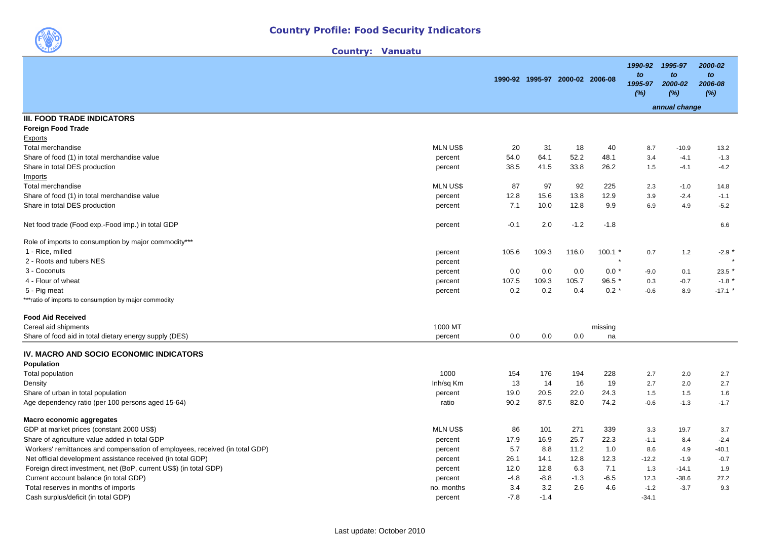Country: Vanuatu

|                                                                             |                 |        | 1990-92 1995-97 2000-02 2006-08 |        |             | 1990-92<br>to<br>1995-97<br>(%) | 1995-97<br>to<br>2000-02<br>(%) | 2000-02<br>to<br>2006-08<br>(%) |
|-----------------------------------------------------------------------------|-----------------|--------|---------------------------------|--------|-------------|---------------------------------|---------------------------------|---------------------------------|
|                                                                             |                 |        |                                 |        |             |                                 | annual change                   |                                 |
| <b>III. FOOD TRADE INDICATORS</b>                                           |                 |        |                                 |        |             |                                 |                                 |                                 |
| <b>Foreign Food Trade</b>                                                   |                 |        |                                 |        |             |                                 |                                 |                                 |
| Exports                                                                     |                 |        |                                 |        |             |                                 |                                 |                                 |
| <b>Total merchandise</b>                                                    | <b>MLN US\$</b> | 20     | 31                              | 18     | 40          | 8.7                             | $-10.9$                         | 13.2                            |
| Share of food (1) in total merchandise value                                | percent         | 54.0   | 64.1                            | 52.2   | 48.1        | 3.4                             | $-4.1$                          | $-1.3$                          |
| Share in total DES production                                               | percent         | 38.5   | 41.5                            | 33.8   | 26.2        | 1.5                             | $-4.1$                          | $-4.2$                          |
| <b>Imports</b>                                                              |                 |        |                                 |        |             |                                 |                                 |                                 |
| Total merchandise                                                           | <b>MLN US\$</b> | 87     | 97                              | 92     | 225         | 2.3                             | $-1.0$                          | 14.8                            |
| Share of food (1) in total merchandise value                                | percent         | 12.8   | 15.6                            | 13.8   | 12.9        | 3.9                             | $-2.4$                          | $-1.1$                          |
| Share in total DES production                                               | percent         | 7.1    | 10.0                            | 12.8   | 9.9         | 6.9                             | 4.9                             | $-5.2$                          |
| Net food trade (Food exp.-Food imp.) in total GDP                           | percent         | $-0.1$ | 2.0                             | $-1.2$ | $-1.8$      |                                 |                                 | 6.6                             |
| Role of imports to consumption by major commodity***                        |                 |        |                                 |        |             |                                 |                                 |                                 |
| 1 - Rice, milled                                                            | percent         | 105.6  | 109.3                           | 116.0  | $100.1$ $*$ | 0.7                             | $1.2$                           | $-2.9$                          |
| 2 - Roots and tubers NES                                                    | percent         |        |                                 |        |             |                                 |                                 |                                 |
| 3 - Coconuts                                                                | percent         | 0.0    | 0.0                             | 0.0    | $0.0*$      | $-9.0$                          | 0.1                             | 23.5                            |
| 4 - Flour of wheat                                                          | percent         | 107.5  | 109.3                           | 105.7  | $96.5*$     | 0.3                             | $-0.7$                          | $-1.8$ *                        |
| 5 - Pig meat                                                                | percent         | 0.2    | 0.2                             | 0.4    | $0.2 *$     | $-0.6$                          | 8.9                             | $-17.1$ *                       |
| ***ratio of imports to consumption by major commodity                       |                 |        |                                 |        |             |                                 |                                 |                                 |
| <b>Food Aid Received</b>                                                    |                 |        |                                 |        |             |                                 |                                 |                                 |
| Cereal aid shipments                                                        | 1000 MT         |        |                                 |        | missing     |                                 |                                 |                                 |
| Share of food aid in total dietary energy supply (DES)                      | percent         | 0.0    | 0.0                             | 0.0    | na          |                                 |                                 |                                 |
| IV. MACRO AND SOCIO ECONOMIC INDICATORS                                     |                 |        |                                 |        |             |                                 |                                 |                                 |
| Population                                                                  |                 |        |                                 |        |             |                                 |                                 |                                 |
| Total population                                                            | 1000            | 154    | 176                             | 194    | 228         | 2.7                             | 2.0                             | 2.7                             |
| Density                                                                     | Inh/sq Km       | 13     | 14                              | 16     | 19          | 2.7                             | 2.0                             | 2.7                             |
| Share of urban in total population                                          | percent         | 19.0   | 20.5                            | 22.0   | 24.3        | 1.5                             | 1.5                             | 1.6                             |
| Age dependency ratio (per 100 persons aged 15-64)                           | ratio           | 90.2   | 87.5                            | 82.0   | 74.2        | $-0.6$                          | $-1.3$                          | $-1.7$                          |
| Macro economic aggregates                                                   |                 |        |                                 |        |             |                                 |                                 |                                 |
| GDP at market prices (constant 2000 US\$)                                   | <b>MLN US\$</b> | 86     | 101                             | 271    | 339         | 3.3                             | 19.7                            | 3.7                             |
| Share of agriculture value added in total GDP                               | percent         | 17.9   | 16.9                            | 25.7   | 22.3        | $-1.1$                          | 8.4                             | $-2.4$                          |
| Workers' remittances and compensation of employees, received (in total GDP) | percent         | 5.7    | 8.8                             | 11.2   | 1.0         | 8.6                             | 4.9                             | $-40.1$                         |
| Net official development assistance received (in total GDP)                 | percent         | 26.1   | 14.1                            | 12.8   | 12.3        | $-12.2$                         | $-1.9$                          | $-0.7$                          |
| Foreign direct investment, net (BoP, current US\$) (in total GDP)           | percent         | 12.0   | 12.8                            | 6.3    | 7.1         | 1.3                             | $-14.1$                         | 1.9                             |
| Current account balance (in total GDP)                                      | percent         | $-4.8$ | $-8.8$                          | $-1.3$ | $-6.5$      | 12.3                            | $-38.6$                         | 27.2                            |
| Total reserves in months of imports                                         | no. months      | 3.4    | 3.2                             | 2.6    | 4.6         | $-1.2$                          | $-3.7$                          | 9.3                             |
| Cash surplus/deficit (in total GDP)                                         | percent         | $-7.8$ | $-1.4$                          |        |             | $-34.1$                         |                                 |                                 |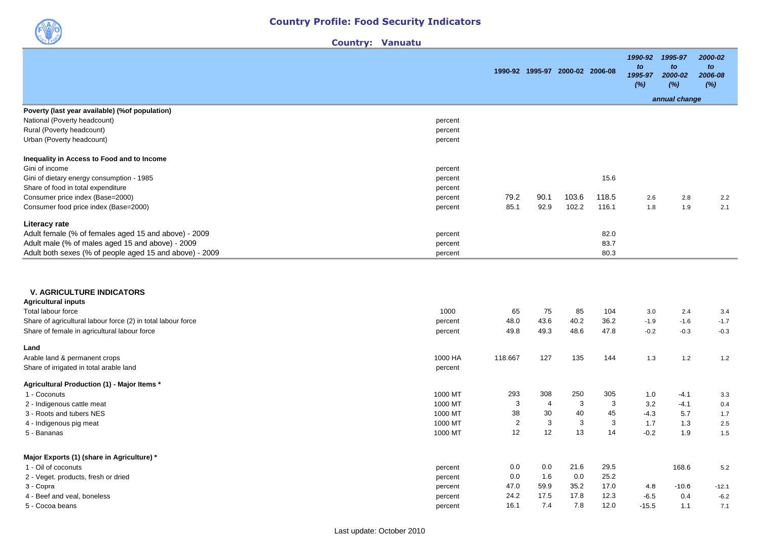

| <b>Vanuatu</b><br><b>Country:</b> |
|-----------------------------------|
|-----------------------------------|

|                                                                              |              |      | 1990-92 1995-97 2000-02 2006-08 |              | 1990-92<br>to<br>1995-97<br>(%) | 1995-97<br>to<br>2000-02<br>(%) | 2000-02<br>to<br>2006-08<br>(%) |
|------------------------------------------------------------------------------|--------------|------|---------------------------------|--------------|---------------------------------|---------------------------------|---------------------------------|
|                                                                              |              |      |                                 |              |                                 | annual change                   |                                 |
| Poverty (last year available) (% of population)                              |              |      |                                 |              |                                 |                                 |                                 |
| National (Poverty headcount)<br>percent                                      |              |      |                                 |              |                                 |                                 |                                 |
| Rural (Poverty headcount)<br>percent<br>Urban (Poverty headcount)<br>percent |              |      |                                 |              |                                 |                                 |                                 |
|                                                                              |              |      |                                 |              |                                 |                                 |                                 |
| Inequality in Access to Food and to Income<br>Gini of income<br>percent      |              |      |                                 |              |                                 |                                 |                                 |
| Gini of dietary energy consumption - 1985<br>percent                         |              |      |                                 | 15.6         |                                 |                                 |                                 |
| Share of food in total expenditure<br>percent                                |              |      |                                 |              |                                 |                                 |                                 |
| Consumer price index (Base=2000)<br>percent                                  | 79.2         | 90.1 | 103.6                           | 118.5        | 2.6                             | 2.8                             | 2.2                             |
| Consumer food price index (Base=2000)<br>percent                             | 85.1         | 92.9 | 102.2                           | 116.1        | 1.8                             | 1.9                             | 2.1                             |
| Literacy rate                                                                |              |      |                                 |              |                                 |                                 |                                 |
| Adult female (% of females aged 15 and above) - 2009<br>percent              |              |      |                                 | 82.0         |                                 |                                 |                                 |
| Adult male (% of males aged 15 and above) - 2009<br>percent                  |              |      |                                 | 83.7         |                                 |                                 |                                 |
| Adult both sexes (% of people aged 15 and above) - 2009<br>percent           |              |      |                                 | 80.3         |                                 |                                 |                                 |
| <b>V. AGRICULTURE INDICATORS</b><br><b>Agricultural inputs</b>               |              |      |                                 |              |                                 |                                 |                                 |
| 1000<br>Total labour force                                                   | 65           | 75   | 85                              | 104          | 3.0                             | 2.4                             | 3.4                             |
| Share of agricultural labour force (2) in total labour force<br>percent      | 48.0         | 43.6 | 40.2                            | 36.2         | $-1.9$                          | $-1.6$                          | $-1.7$                          |
| Share of female in agricultural labour force<br>percent                      | 49.8         | 49.3 | 48.6                            | 47.8         | $-0.2$                          | $-0.3$                          | $-0.3$                          |
| Land                                                                         |              |      |                                 |              |                                 |                                 |                                 |
| Arable land & permanent crops<br>1000 HA                                     | 118.667      | 127  | 135                             | 144          | 1.3                             | $1.2$                           | 1.2                             |
| Share of irrigated in total arable land<br>percent                           |              |      |                                 |              |                                 |                                 |                                 |
| Agricultural Production (1) - Major Items *                                  |              |      |                                 |              |                                 |                                 |                                 |
| 1000 MT<br>1 - Coconuts                                                      | 293          | 308  | 250                             | 305          | 1.0                             | $-4.1$                          | 3.3                             |
| 1000 MT<br>2 - Indigenous cattle meat                                        | $\mathbf{3}$ | 4    | 3                               | $\mathbf{3}$ | 3.2                             | $-4.1$                          | 0.4                             |
| 3 - Roots and tubers NES<br>1000 MT                                          | 38           | 30   | 40                              | 45           | $-4.3$                          | 5.7                             | 1.7                             |
| 1000 MT<br>4 - Indigenous pig meat                                           | $\sqrt{2}$   | 3    | 3                               | $\mathbf{3}$ | 1.7                             | 1.3                             | 2.5                             |
| 1000 MT<br>5 - Bananas                                                       | 12           | 12   | 13                              | 14           | $-0.2$                          | 1.9                             | 1.5                             |
| Major Exports (1) (share in Agriculture) *                                   |              |      |                                 |              |                                 |                                 |                                 |
| 1 - Oil of coconuts<br>percent                                               | 0.0          | 0.0  | 21.6                            | 29.5         |                                 | 168.6                           | 5.2                             |
| 2 - Veget. products, fresh or dried<br>percent                               | 0.0          | 1.6  | 0.0                             | 25.2         |                                 |                                 |                                 |
| 3 - Copra<br>percent                                                         | 47.0         | 59.9 | 35.2                            | 17.0         | 4.8                             | $-10.6$                         | -12.1                           |
| 4 - Beef and veal, boneless<br>percent                                       | 24.2         | 17.5 | 17.8                            | 12.3         | $-6.5$                          | 0.4                             | $-6.2$                          |
| 5 - Cocoa beans<br>percent                                                   | 16.1         | 7.4  | 7.8                             | 12.0         | $-15.5$                         | 1.1                             | 7.1                             |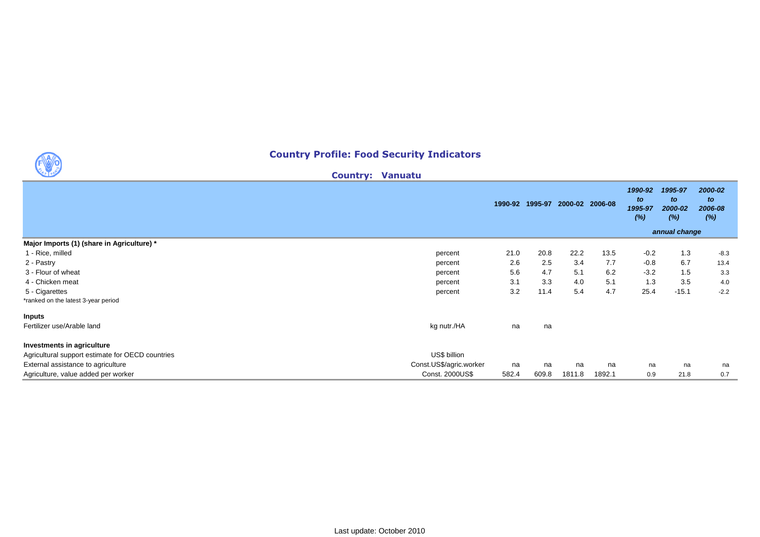## Country Profile: Food Security Indicators

Country: Vanuatu

**1990** 

|                                                  |                         | 1990-92 1995-97 |       | 2000-02 2006-08 |        | 1990-92<br>to<br>1995-97<br>(%) | 1995-97<br>to<br>2000-02<br>(%)<br>annual change | 2000-02<br>to<br>2006-08<br>(%) |
|--------------------------------------------------|-------------------------|-----------------|-------|-----------------|--------|---------------------------------|--------------------------------------------------|---------------------------------|
| Major Imports (1) (share in Agriculture) *       |                         |                 |       |                 |        |                                 |                                                  |                                 |
| 1 - Rice, milled                                 | percent                 | 21.0            | 20.8  | 22.2            | 13.5   | $-0.2$                          | 1.3                                              | $-8.3$                          |
| 2 - Pastry                                       | percent                 | 2.6             | 2.5   | 3.4             | 7.7    | $-0.8$                          | 6.7                                              | 13.4                            |
| 3 - Flour of wheat                               | percent                 | 5.6             | 4.7   | 5.1             | 6.2    | $-3.2$                          | 1.5                                              | 3.3                             |
| 4 - Chicken meat                                 | percent                 | 3.1             | 3.3   | 4.0             | 5.1    | 1.3                             | 3.5                                              | 4.0                             |
| 5 - Cigarettes                                   | percent                 | 3.2             | 11.4  | 5.4             | 4.7    | 25.4                            | $-15.1$                                          | $-2.2$                          |
| *ranked on the latest 3-year period              |                         |                 |       |                 |        |                                 |                                                  |                                 |
| <b>Inputs</b>                                    |                         |                 |       |                 |        |                                 |                                                  |                                 |
| Fertilizer use/Arable land                       | kg nutr./HA             | na              | na    |                 |        |                                 |                                                  |                                 |
| Investments in agriculture                       |                         |                 |       |                 |        |                                 |                                                  |                                 |
| Agricultural support estimate for OECD countries | US\$ billion            |                 |       |                 |        |                                 |                                                  |                                 |
| External assistance to agriculture               | Const.US\$/agric.worker | na              | na    | na              | na     | na                              | na                                               | na                              |
| Agriculture, value added per worker              | Const. 2000US\$         | 582.4           | 609.8 | 1811.8          | 1892.1 | 0.9                             | 21.8                                             | 0.7                             |